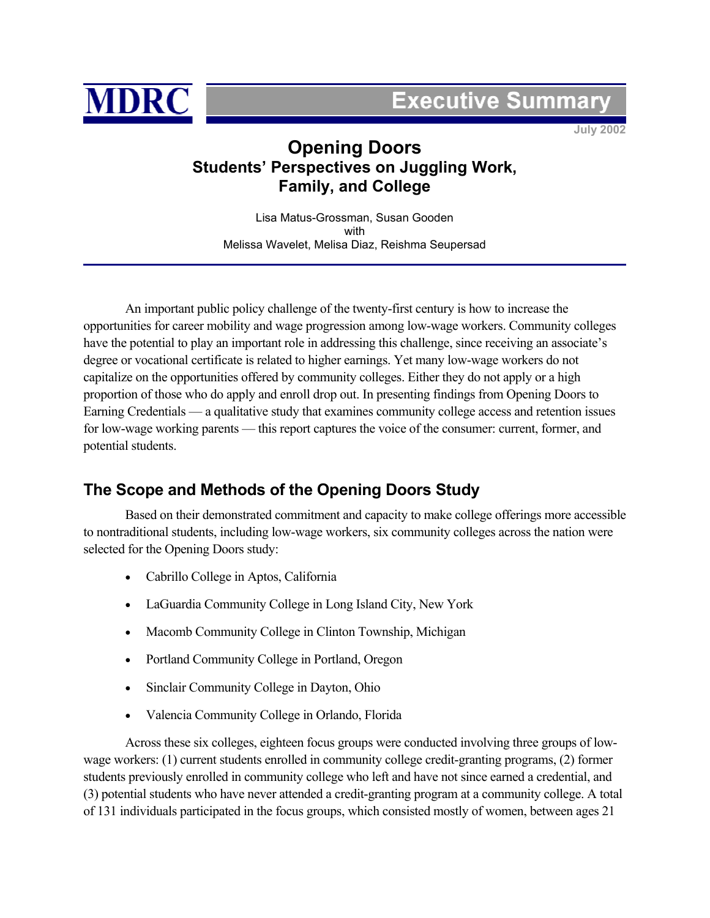

# **Executive Summar**

**July 2002** 

## **Opening Doors Students' Perspectives on Juggling Work, Family, and College**

Lisa Matus-Grossman, Susan Gooden with Melissa Wavelet, Melisa Diaz, Reishma Seupersad

An important public policy challenge of the twenty-first century is how to increase the opportunities for career mobility and wage progression among low-wage workers. Community colleges have the potential to play an important role in addressing this challenge, since receiving an associate's degree or vocational certificate is related to higher earnings. Yet many low-wage workers do not capitalize on the opportunities offered by community colleges. Either they do not apply or a high proportion of those who do apply and enroll drop out. In presenting findings from Opening Doors to Earning Credentials — a qualitative study that examines community college access and retention issues for low-wage working parents — this report captures the voice of the consumer: current, former, and potential students.

## **The Scope and Methods of the Opening Doors Study**

Based on their demonstrated commitment and capacity to make college offerings more accessible to nontraditional students, including low-wage workers, six community colleges across the nation were selected for the Opening Doors study:

- Cabrillo College in Aptos, California
- LaGuardia Community College in Long Island City, New York
- Macomb Community College in Clinton Township, Michigan
- Portland Community College in Portland, Oregon
- Sinclair Community College in Dayton, Ohio
- Valencia Community College in Orlando, Florida

Across these six colleges, eighteen focus groups were conducted involving three groups of lowwage workers: (1) current students enrolled in community college credit-granting programs, (2) former students previously enrolled in community college who left and have not since earned a credential, and (3) potential students who have never attended a credit-granting program at a community college. A total of 131 individuals participated in the focus groups, which consisted mostly of women, between ages 21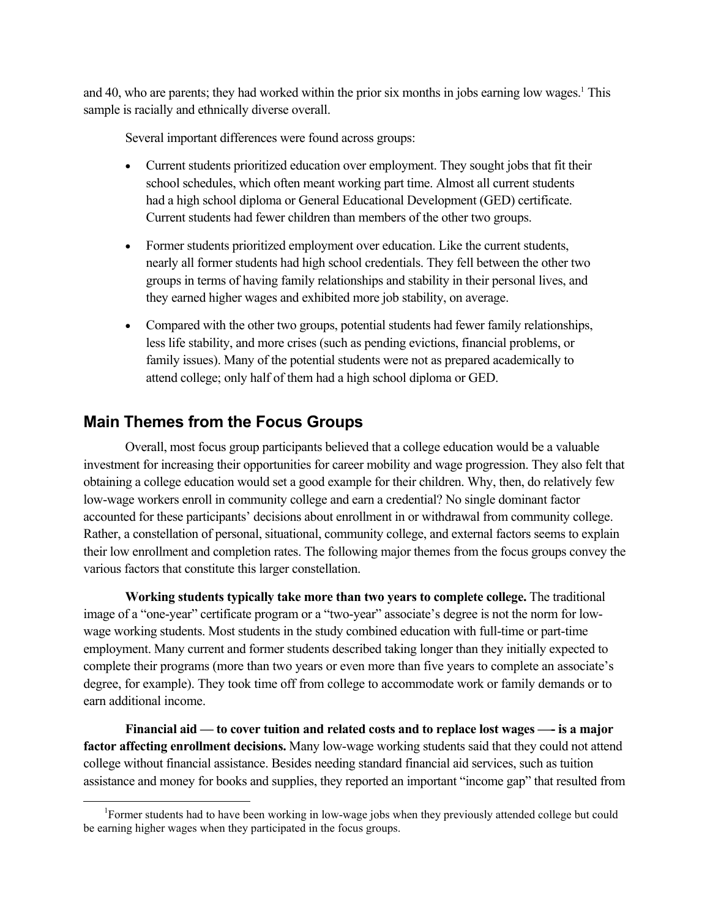and 40, who are parents; they had worked within the prior six months in jobs earning low wages.<sup>1</sup> This sample is racially and ethnically diverse overall.

Several important differences were found across groups:

- Current students prioritized education over employment. They sought jobs that fit their school schedules, which often meant working part time. Almost all current students had a high school diploma or General Educational Development (GED) certificate. Current students had fewer children than members of the other two groups.
- Former students prioritized employment over education. Like the current students, nearly all former students had high school credentials. They fell between the other two groups in terms of having family relationships and stability in their personal lives, and they earned higher wages and exhibited more job stability, on average.
- Compared with the other two groups, potential students had fewer family relationships, less life stability, and more crises (such as pending evictions, financial problems, or family issues). Many of the potential students were not as prepared academically to attend college; only half of them had a high school diploma or GED.

## **Main Themes from the Focus Groups**

Overall, most focus group participants believed that a college education would be a valuable investment for increasing their opportunities for career mobility and wage progression. They also felt that obtaining a college education would set a good example for their children. Why, then, do relatively few low-wage workers enroll in community college and earn a credential? No single dominant factor accounted for these participants' decisions about enrollment in or withdrawal from community college. Rather, a constellation of personal, situational, community college, and external factors seems to explain their low enrollment and completion rates. The following major themes from the focus groups convey the various factors that constitute this larger constellation.

**Working students typically take more than two years to complete college.** The traditional image of a "one-year" certificate program or a "two-year" associate's degree is not the norm for lowwage working students. Most students in the study combined education with full-time or part-time employment. Many current and former students described taking longer than they initially expected to complete their programs (more than two years or even more than five years to complete an associate's degree, for example). They took time off from college to accommodate work or family demands or to earn additional income.

**Financial aid — to cover tuition and related costs and to replace lost wages —- is a major factor affecting enrollment decisions.** Many low-wage working students said that they could not attend college without financial assistance. Besides needing standard financial aid services, such as tuition assistance and money for books and supplies, they reported an important "income gap" that resulted from

 <sup>1</sup> Former students had to have been working in low-wage jobs when they previously attended college but could be earning higher wages when they participated in the focus groups.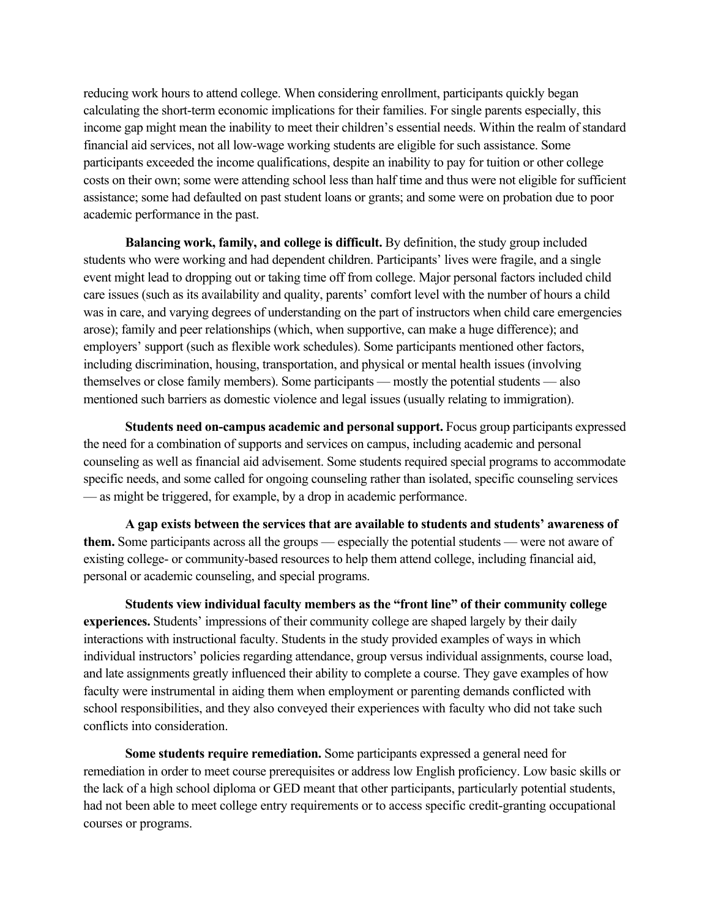reducing work hours to attend college. When considering enrollment, participants quickly began calculating the short-term economic implications for their families. For single parents especially, this income gap might mean the inability to meet their children's essential needs. Within the realm of standard financial aid services, not all low-wage working students are eligible for such assistance. Some participants exceeded the income qualifications, despite an inability to pay for tuition or other college costs on their own; some were attending school less than half time and thus were not eligible for sufficient assistance; some had defaulted on past student loans or grants; and some were on probation due to poor academic performance in the past.

**Balancing work, family, and college is difficult.** By definition, the study group included students who were working and had dependent children. Participants' lives were fragile, and a single event might lead to dropping out or taking time off from college. Major personal factors included child care issues (such as its availability and quality, parents' comfort level with the number of hours a child was in care, and varying degrees of understanding on the part of instructors when child care emergencies arose); family and peer relationships (which, when supportive, can make a huge difference); and employers' support (such as flexible work schedules). Some participants mentioned other factors, including discrimination, housing, transportation, and physical or mental health issues (involving themselves or close family members). Some participants — mostly the potential students — also mentioned such barriers as domestic violence and legal issues (usually relating to immigration).

**Students need on-campus academic and personal support.** Focus group participants expressed the need for a combination of supports and services on campus, including academic and personal counseling as well as financial aid advisement. Some students required special programs to accommodate specific needs, and some called for ongoing counseling rather than isolated, specific counseling services — as might be triggered, for example, by a drop in academic performance.

**A gap exists between the services that are available to students and students' awareness of them.** Some participants across all the groups — especially the potential students — were not aware of existing college- or community-based resources to help them attend college, including financial aid, personal or academic counseling, and special programs.

**Students view individual faculty members as the "front line" of their community college experiences.** Students' impressions of their community college are shaped largely by their daily interactions with instructional faculty. Students in the study provided examples of ways in which individual instructors' policies regarding attendance, group versus individual assignments, course load, and late assignments greatly influenced their ability to complete a course. They gave examples of how faculty were instrumental in aiding them when employment or parenting demands conflicted with school responsibilities, and they also conveyed their experiences with faculty who did not take such conflicts into consideration.

**Some students require remediation.** Some participants expressed a general need for remediation in order to meet course prerequisites or address low English proficiency. Low basic skills or the lack of a high school diploma or GED meant that other participants, particularly potential students, had not been able to meet college entry requirements or to access specific credit-granting occupational courses or programs.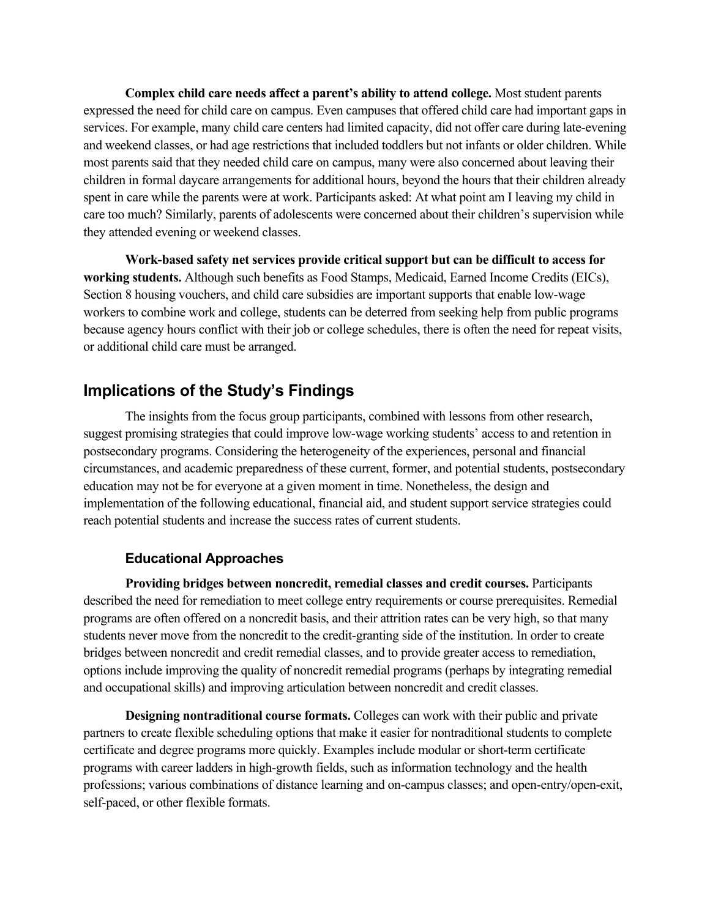**Complex child care needs affect a parent's ability to attend college.** Most student parents expressed the need for child care on campus. Even campuses that offered child care had important gaps in services. For example, many child care centers had limited capacity, did not offer care during late-evening and weekend classes, or had age restrictions that included toddlers but not infants or older children. While most parents said that they needed child care on campus, many were also concerned about leaving their children in formal daycare arrangements for additional hours, beyond the hours that their children already spent in care while the parents were at work. Participants asked: At what point am I leaving my child in care too much? Similarly, parents of adolescents were concerned about their children's supervision while they attended evening or weekend classes.

**Work-based safety net services provide critical support but can be difficult to access for working students.** Although such benefits as Food Stamps, Medicaid, Earned Income Credits (EICs), Section 8 housing vouchers, and child care subsidies are important supports that enable low-wage workers to combine work and college, students can be deterred from seeking help from public programs because agency hours conflict with their job or college schedules, there is often the need for repeat visits, or additional child care must be arranged.

## **Implications of the Study's Findings**

The insights from the focus group participants, combined with lessons from other research, suggest promising strategies that could improve low-wage working students' access to and retention in postsecondary programs. Considering the heterogeneity of the experiences, personal and financial circumstances, and academic preparedness of these current, former, and potential students, postsecondary education may not be for everyone at a given moment in time. Nonetheless, the design and implementation of the following educational, financial aid, and student support service strategies could reach potential students and increase the success rates of current students.

#### **Educational Approaches**

**Providing bridges between noncredit, remedial classes and credit courses.** Participants described the need for remediation to meet college entry requirements or course prerequisites. Remedial programs are often offered on a noncredit basis, and their attrition rates can be very high, so that many students never move from the noncredit to the credit-granting side of the institution. In order to create bridges between noncredit and credit remedial classes, and to provide greater access to remediation, options include improving the quality of noncredit remedial programs (perhaps by integrating remedial and occupational skills) and improving articulation between noncredit and credit classes.

**Designing nontraditional course formats.** Colleges can work with their public and private partners to create flexible scheduling options that make it easier for nontraditional students to complete certificate and degree programs more quickly. Examples include modular or short-term certificate programs with career ladders in high-growth fields, such as information technology and the health professions; various combinations of distance learning and on-campus classes; and open-entry/open-exit, self-paced, or other flexible formats.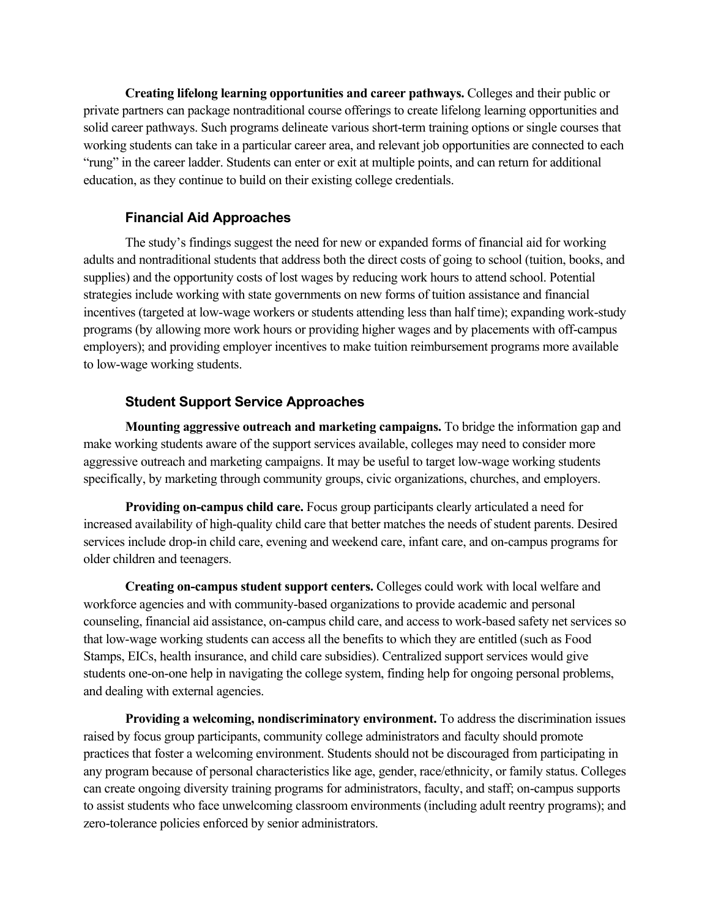**Creating lifelong learning opportunities and career pathways.** Colleges and their public or private partners can package nontraditional course offerings to create lifelong learning opportunities and solid career pathways. Such programs delineate various short-term training options or single courses that working students can take in a particular career area, and relevant job opportunities are connected to each "rung" in the career ladder. Students can enter or exit at multiple points, and can return for additional education, as they continue to build on their existing college credentials.

#### **Financial Aid Approaches**

The study's findings suggest the need for new or expanded forms of financial aid for working adults and nontraditional students that address both the direct costs of going to school (tuition, books, and supplies) and the opportunity costs of lost wages by reducing work hours to attend school. Potential strategies include working with state governments on new forms of tuition assistance and financial incentives (targeted at low-wage workers or students attending less than half time); expanding work-study programs (by allowing more work hours or providing higher wages and by placements with off-campus employers); and providing employer incentives to make tuition reimbursement programs more available to low-wage working students.

#### **Student Support Service Approaches**

**Mounting aggressive outreach and marketing campaigns.** To bridge the information gap and make working students aware of the support services available, colleges may need to consider more aggressive outreach and marketing campaigns. It may be useful to target low-wage working students specifically, by marketing through community groups, civic organizations, churches, and employers.

**Providing on-campus child care.** Focus group participants clearly articulated a need for increased availability of high-quality child care that better matches the needs of student parents. Desired services include drop-in child care, evening and weekend care, infant care, and on-campus programs for older children and teenagers.

**Creating on-campus student support centers.** Colleges could work with local welfare and workforce agencies and with community-based organizations to provide academic and personal counseling, financial aid assistance, on-campus child care, and access to work-based safety net services so that low-wage working students can access all the benefits to which they are entitled (such as Food Stamps, EICs, health insurance, and child care subsidies). Centralized support services would give students one-on-one help in navigating the college system, finding help for ongoing personal problems, and dealing with external agencies.

**Providing a welcoming, nondiscriminatory environment.** To address the discrimination issues raised by focus group participants, community college administrators and faculty should promote practices that foster a welcoming environment. Students should not be discouraged from participating in any program because of personal characteristics like age, gender, race/ethnicity, or family status. Colleges can create ongoing diversity training programs for administrators, faculty, and staff; on-campus supports to assist students who face unwelcoming classroom environments (including adult reentry programs); and zero-tolerance policies enforced by senior administrators.